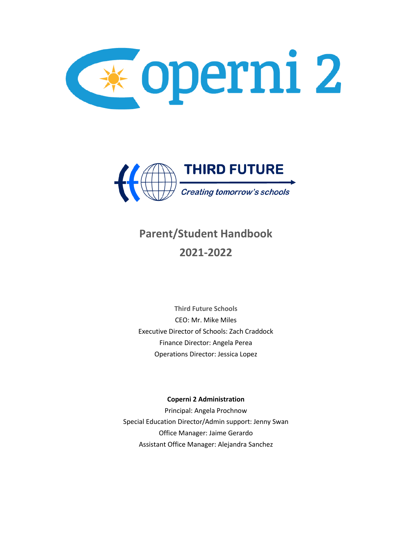



# **Parent/Student Handbook 2021-2022**

**Third Future Schools** CEO: Mr. Mike Miles Executive Director of Schools: Zach Craddock Finance Director: Angela Perea Operations Director: Jessica Lopez

# **Coperni 2 Administration**

Principal: Angela Prochnow Special Education Director/Admin support: Jenny Swan Office Manager: Jaime Gerardo Assistant Office Manager: Alejandra Sanchez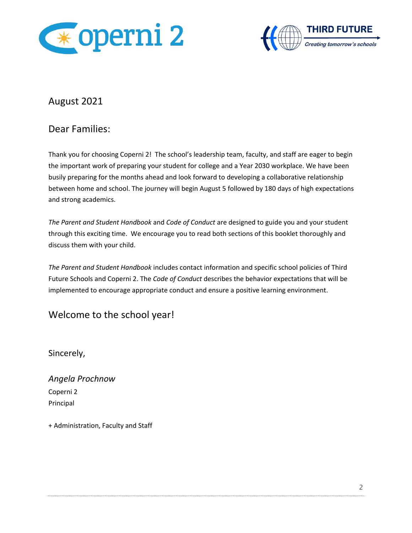



# August 2021

# Dear Families:

Thank you for choosing Coperni 2! The school's leadership team, faculty, and staff are eager to begin the important work of preparing your student for college and a Year 2030 workplace. We have been busily preparing for the months ahead and look forward to developing a collaborative relationship between home and school. The journey will begin August 5 followed by 180 days of high expectations and strong academics.

*The Parent and Student Handbook* and *Code of Conduct* are designed to guide you and your student through this exciting time. We encourage you to read both sections of this booklet thoroughly and discuss them with your child.

*The Parent and Student Handbook* includes contact information and specific school policies of Third Future Schools and Coperni 2. The *Code of Conduct* describes the behavior expectations that will be implemented to encourage appropriate conduct and ensure a positive learning environment.

Welcome to the school year!

Sincerely,

*Angela Prochnow* Coperni 2 Principal

+ Administration, Faculty and Staff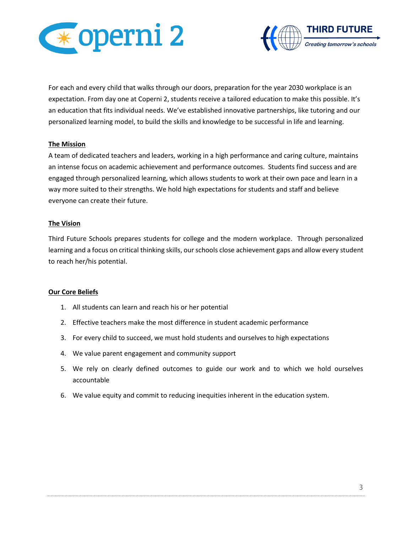



For each and every child that walks through our doors, preparation for the year 2030 workplace is an expectation. From day one at Coperni 2, students receive a tailored education to make this possible. It's an education that fits individual needs. We've established innovative partnerships, like tutoring and our personalized learning model, to build the skills and knowledge to be successful in life and learning.

# **The Mission**

A team of dedicated teachers and leaders, working in a high performance and caring culture, maintains an intense focus on academic achievement and performance outcomes. Students find success and are engaged through personalized learning, which allows students to work at their own pace and learn in a way more suited to their strengths. We hold high expectations for students and staff and believe everyone can create their future.

#### **The Vision**

Third Future Schools prepares students for college and the modern workplace. Through personalized learning and a focus on critical thinking skills, our schools close achievement gaps and allow every student to reach her/his potential.

#### **Our Core Beliefs**

- 1. All students can learn and reach his or her potential
- 2. Effective teachers make the most difference in student academic performance
- 3. For every child to succeed, we must hold students and ourselves to high expectations
- 4. We value parent engagement and community support
- 5. We rely on clearly defined outcomes to guide our work and to which we hold ourselves accountable
- 6. We value equity and commit to reducing inequities inherent in the education system.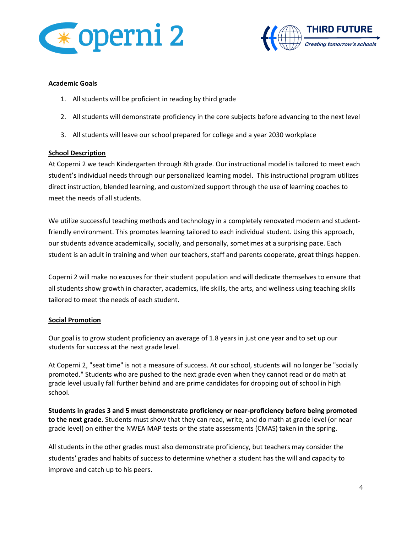



# **Academic Goals**

- 1. All students will be proficient in reading by third grade
- 2. All students will demonstrate proficiency in the core subjects before advancing to the next level
- 3. All students will leave our school prepared for college and a year 2030 workplace

# **School Description**

At Coperni 2 we teach Kindergarten through 8th grade. Our instructional model is tailored to meet each student's individual needs through our personalized learning model. This instructional program utilizes direct instruction, blended learning, and customized support through the use of learning coaches to meet the needs of all students.

We utilize successful teaching methods and technology in a completely renovated modern and studentfriendly environment. This promotes learning tailored to each individual student. Using this approach, our students advance academically, socially, and personally, sometimes at a surprising pace. Each student is an adult in training and when our teachers, staff and parents cooperate, great things happen.

Coperni 2 will make no excuses for their student population and will dedicate themselves to ensure that all students show growth in character, academics, life skills, the arts, and wellness using teaching skills tailored to meet the needs of each student.

# **Social Promotion**

Our goal is to grow student proficiency an average of 1.8 years in just one year and to set up our students for success at the next grade level.

At Coperni 2, "seat time" is not a measure of success. At our school, students will no longer be "socially promoted." Students who are pushed to the next grade even when they cannot read or do math at grade level usually fall further behind and are prime candidates for dropping out of school in high school.

**Students in grades 3 and 5 must demonstrate proficiency or near-proficiency before being promoted to the next grade.** Students must show that they can read, write, and do math at grade level (or near grade level) on either the NWEA MAP tests or the state assessments (CMAS) taken in the spring.

All students in the other grades must also demonstrate proficiency, but teachers may consider the students' grades and habits of success to determine whether a student has the will and capacity to improve and catch up to his peers.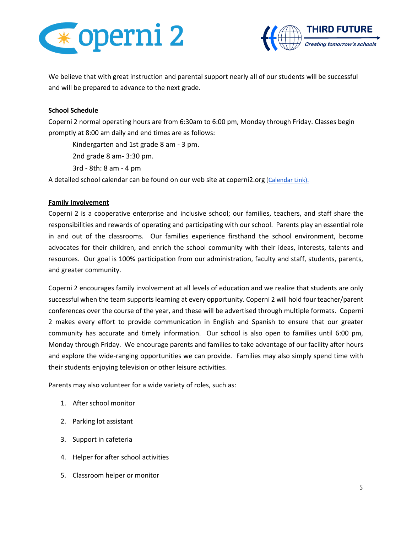



We believe that with great instruction and parental support nearly all of our students will be successful and will be prepared to advance to the next grade.

# **School Schedule**

Coperni 2 normal operating hours are from 6:30am to 6:00 pm, Monday through Friday. Classes begin promptly at 8:00 am daily and end times are as follows:

Kindergarten and 1st grade 8 am - 3 pm.

2nd grade 8 am- 3:30 pm.

3rd - 8th: 8 am - 4 pm

A detailed school calendar can be found on our web site at coperni2.org [\(Calendar Link\).](https://e853e249-fb4e-4076-a972-34717b7c6bcc.filesusr.com/ugd/56e17e_e5a0cc7eb819499db7db87fdcd9ca63d.pdf)

# **Family Involvement**

Coperni 2 is a cooperative enterprise and inclusive school; our families, teachers, and staff share the responsibilities and rewards of operating and participating with our school. Parents play an essential role in and out of the classrooms. Our families experience firsthand the school environment, become advocates for their children, and enrich the school community with their ideas, interests, talents and resources. Our goal is 100% participation from our administration, faculty and staff, students, parents, and greater community.

Coperni 2 encourages family involvement at all levels of education and we realize that students are only successful when the team supports learning at every opportunity. Coperni 2 will hold four teacher/parent conferences over the course of the year, and these will be advertised through multiple formats. Coperni 2 makes every effort to provide communication in English and Spanish to ensure that our greater community has accurate and timely information. Our school is also open to families until 6:00 pm, Monday through Friday. We encourage parents and families to take advantage of our facility after hours and explore the wide-ranging opportunities we can provide. Families may also simply spend time with their students enjoying television or other leisure activities.

Parents may also volunteer for a wide variety of roles, such as:

- 1. After school monitor
- 2. Parking lot assistant
- 3. Support in cafeteria
- 4. Helper for after school activities
- 5. Classroom helper or monitor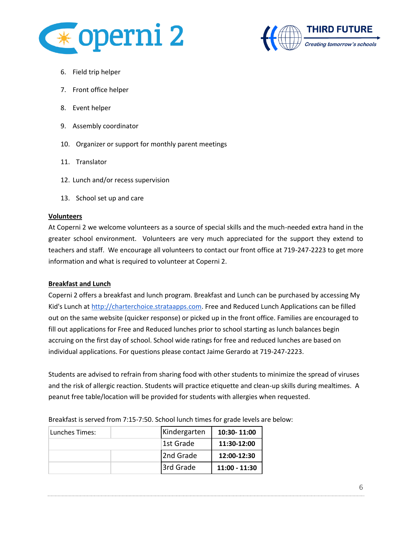



- 6. Field trip helper
- 7. Front office helper
- 8. Event helper
- 9. Assembly coordinator
- 10. Organizer or support for monthly parent meetings
- 11. Translator
- 12. Lunch and/or recess supervision
- 13. School set up and care

# **Volunteers**

At Coperni 2 we welcome volunteers as a source of special skills and the much-needed extra hand in the greater school environment. Volunteers are very much appreciated for the support they extend to teachers and staff. We encourage all volunteers to contact our front office at 719-247-2223 to get more information and what is required to volunteer at Coperni 2.

# **Breakfast and Lunch**

Coperni 2 offers a breakfast and lunch program. Breakfast and Lunch can be purchased by accessing My Kid's Lunch at [http://charterchoice.strataapps.com.](http://charterchoice.strataapps.com/) Free and Reduced Lunch Applications can be filled out on the same website (quicker response) or picked up in the front office. Families are encouraged to fill out applications for Free and Reduced lunches prior to school starting as lunch balances begin accruing on the first day of school. School wide ratings for free and reduced lunches are based on individual applications. For questions please contact Jaime Gerardo at 719-247-2223.

Students are advised to refrain from sharing food with other students to minimize the spread of viruses and the risk of allergic reaction. Students will practice etiquette and clean-up skills during mealtimes. A peanut free table/location will be provided for students with allergies when requested.

| Lunches Times: | Kindergarten | 10:30-11:00     |
|----------------|--------------|-----------------|
|                | 1st Grade    | 11:30-12:00     |
|                | 2nd Grade    | 12:00-12:30     |
|                | 3rd Grade    | $11:00 - 11:30$ |

Breakfast is served from 7:15-7:50. School lunch times for grade levels are below: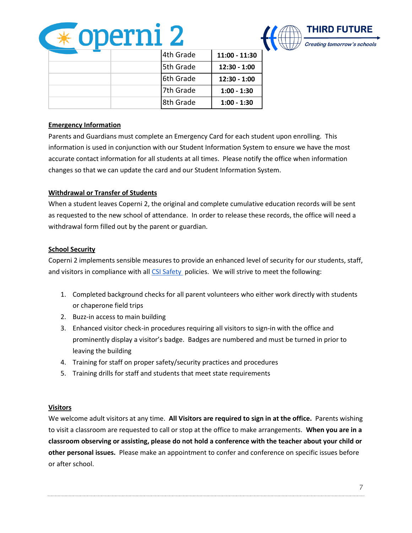



|  |  | 4th Grade  | 11:00 - 11:30  |
|--|--|------------|----------------|
|  |  | 5th Grade  | $12:30 - 1:00$ |
|  |  | 6th Grade  | $12:30 - 1:00$ |
|  |  | 7th Grade  | $1:00 - 1:30$  |
|  |  | l8th Grade | $1:00 - 1:30$  |

# **Emergency Information**

Parents and Guardians must complete an Emergency Card for each student upon enrolling. This information is used in conjunction with our Student Information System to ensure we have the most accurate contact information for all students at all times. Please notify the office when information changes so that we can update the card and our Student Information System.

# **Withdrawal or Transfer of Students**

When a student leaves Coperni 2, the original and complete cumulative education records will be sent as requested to the new school of attendance. In order to release these records, the office will need a withdrawal form filled out by the parent or guardian.

# **School Security**

Coperni 2 implements sensible measures to provide an enhanced level of security for our students, staff, and visitors in compliance with al[l CSI Safety](https://resources.csi.state.co.us/school-safety/) policies. We will strive to meet the following:

- 1. Completed background checks for all parent volunteers who either work directly with students or chaperone field trips
- 2. Buzz-in access to main building
- 3. Enhanced visitor check-in procedures requiring all visitors to sign-in with the office and prominently display a visitor's badge. Badges are numbered and must be turned in prior to leaving the building
- 4. Training for staff on proper safety/security practices and procedures
- 5. Training drills for staff and students that meet state requirements

# **Visitors**

We welcome adult visitors at any time. **All Visitors are required to sign in at the office.** Parents wishing to visit a classroom are requested to call or stop at the office to make arrangements. **When you are in a classroom observing or assisting, please do not hold a conference with the teacher about your child or other personal issues.** Please make an appointment to confer and conference on specific issues before or after school.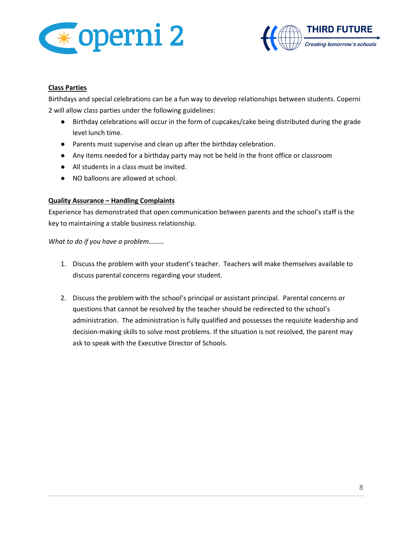



# **Class Parties**

Birthdays and special celebrations can be a fun way to develop relationships between students. Coperni 2 will allow class parties under the following guidelines:

- Birthday celebrations will occur in the form of cupcakes/cake being distributed during the grade level lunch time.
- Parents must supervise and clean up after the birthday celebration.
- Any items needed for a birthday party may not be held in the front office or classroom
- All students in a class must be invited.
- NO balloons are allowed at school.

# **Quality Assurance – Handling Complaints**

Experience has demonstrated that open communication between parents and the school's staff is the key to maintaining a stable business relationship.

*What to do if you have a problem………*

- 1. Discuss the problem with your student's teacher. Teachers will make themselves available to discuss parental concerns regarding your student.
- 2. Discuss the problem with the school's principal or assistant principal. Parental concerns or questions that cannot be resolved by the teacher should be redirected to the school's administration. The administration is fully qualified and possesses the requisite leadership and decision-making skills to solve most problems. If the situation is not resolved, the parent may ask to speak with the Executive Director of Schools.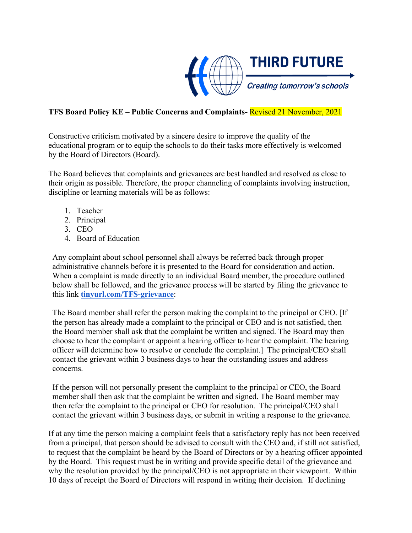

# **TFS Board Policy KE – Public Concerns and Complaints-** Revised 21 November, 2021

Constructive criticism motivated by a sincere desire to improve the quality of the educational program or to equip the schools to do their tasks more effectively is welcomed by the Board of Directors (Board).

The Board believes that complaints and grievances are best handled and resolved as close to their origin as possible. Therefore, the proper channeling of complaints involving instruction, discipline or learning materials will be as follows:

- 1. Teacher
- 2. Principal
- 3. CEO
- 4. Board of Education

Any complaint about school personnel shall always be referred back through proper administrative channels before it is presented to the Board for consideration and action. When a complaint is made directly to an individual Board member, the procedure outlined below shall be followed, and the grievance process will be started by filing the grievance to this link **[tinyurl.com/TFS-grievance](http://tinyurl.com/TFS-grievance)**:

The Board member shall refer the person making the complaint to the principal or CEO. [If the person has already made a complaint to the principal or CEO and is not satisfied, then the Board member shall ask that the complaint be written and signed. The Board may then choose to hear the complaint or appoint a hearing officer to hear the complaint. The hearing officer will determine how to resolve or conclude the complaint.] The principal/CEO shall contact the grievant within 3 business days to hear the outstanding issues and address concerns.

If the person will not personally present the complaint to the principal or CEO, the Board member shall then ask that the complaint be written and signed. The Board member may then refer the complaint to the principal or CEO for resolution. The principal/CEO shall contact the grievant within 3 business days, or submit in writing a response to the grievance.

If at any time the person making a complaint feels that a satisfactory reply has not been received from a principal, that person should be advised to consult with the CEO and, if still not satisfied, to request that the complaint be heard by the Board of Directors or by a hearing officer appointed by the Board. This request must be in writing and provide specific detail of the grievance and why the resolution provided by the principal/CEO is not appropriate in their viewpoint. Within 10 days of receipt the Board of Directors will respond in writing their decision. If declining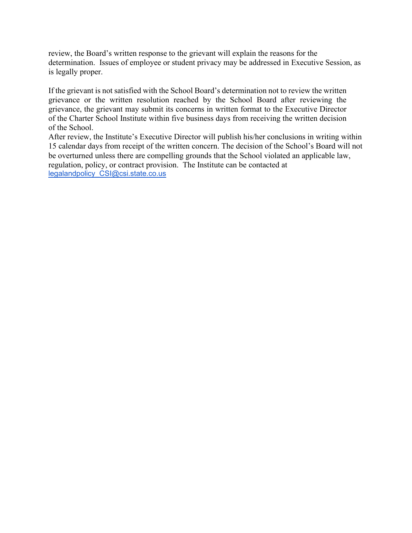review, the Board's written response to the grievant will explain the reasons for the determination. Issues of employee or student privacy may be addressed in Executive Session, as is legally proper.

If the grievant is not satisfied with the School Board's determination not to review the written grievance or the written resolution reached by the School Board after reviewing the grievance, the grievant may submit its concerns in written format to the Executive Director of the Charter School Institute within five business days from receiving the written decision of the School.

After review, the Institute's Executive Director will publish his/her conclusions in writing within 15 calendar days from receipt of the written concern. The decision of the School's Board will not be overturned unless there are compelling grounds that the School violated an applicable law, regulation, policy, or contract provision. The Institute can be contacted at [legalandpolicy\\_CSI@csi.state.co.us](mailto:legalandpolicy_CSI@csi.state.co.us)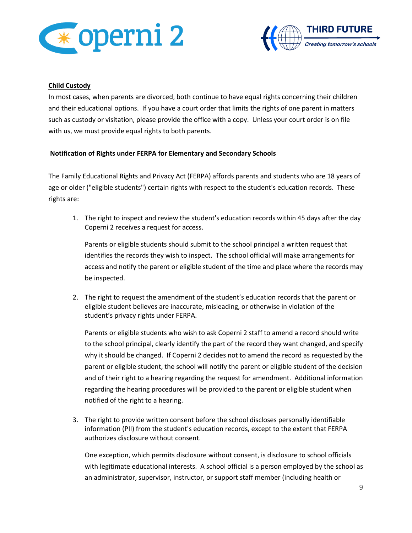



#### **Child Custody**

In most cases, when parents are divorced, both continue to have equal rights concerning their children and their educational options. If you have a court order that limits the rights of one parent in matters such as custody or visitation, please provide the office with a copy. Unless your court order is on file with us, we must provide equal rights to both parents.

# **Notification of Rights under FERPA for Elementary and Secondary Schools**

The Family Educational Rights and Privacy Act (FERPA) affords parents and students who are 18 years of age or older ("eligible students") certain rights with respect to the student's education records. These rights are:

1. The right to inspect and review the student's education records within 45 days after the day Coperni 2 receives a request for access.

Parents or eligible students should submit to the school principal a written request that identifies the records they wish to inspect. The school official will make arrangements for access and notify the parent or eligible student of the time and place where the records may be inspected.

2. The right to request the amendment of the student's education records that the parent or eligible student believes are inaccurate, misleading, or otherwise in violation of the student's privacy rights under FERPA.

Parents or eligible students who wish to ask Coperni 2 staff to amend a record should write to the school principal, clearly identify the part of the record they want changed, and specify why it should be changed. If Coperni 2 decides not to amend the record as requested by the parent or eligible student, the school will notify the parent or eligible student of the decision and of their right to a hearing regarding the request for amendment. Additional information regarding the hearing procedures will be provided to the parent or eligible student when notified of the right to a hearing.

3. The right to provide written consent before the school discloses personally identifiable information (PII) from the student's education records, except to the extent that FERPA authorizes disclosure without consent.

One exception, which permits disclosure without consent, is disclosure to school officials with legitimate educational interests. A school official is a person employed by the school as an administrator, supervisor, instructor, or support staff member (including health or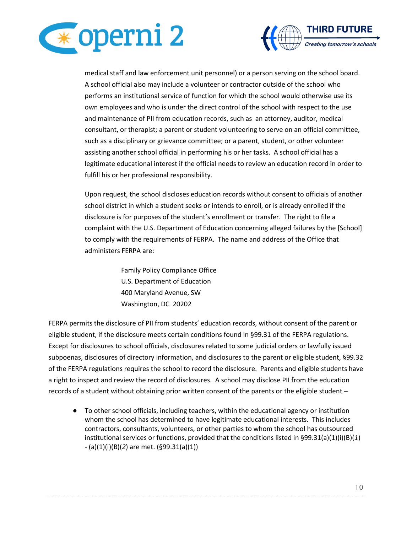



medical staff and law enforcement unit personnel) or a person serving on the school board. A school official also may include a volunteer or contractor outside of the school who performs an institutional service of function for which the school would otherwise use its own employees and who is under the direct control of the school with respect to the use and maintenance of PII from education records, such as an attorney, auditor, medical consultant, or therapist; a parent or student volunteering to serve on an official committee, such as a disciplinary or grievance committee; or a parent, student, or other volunteer assisting another school official in performing his or her tasks. A school official has a legitimate educational interest if the official needs to review an education record in order to fulfill his or her professional responsibility.

Upon request, the school discloses education records without consent to officials of another school district in which a student seeks or intends to enroll, or is already enrolled if the disclosure is for purposes of the student's enrollment or transfer. The right to file a complaint with the U.S. Department of Education concerning alleged failures by the [School] to comply with the requirements of FERPA. The name and address of the Office that administers FERPA are:

> Family Policy Compliance Office U.S. Department of Education 400 Maryland Avenue, SW Washington, DC 20202

FERPA permits the disclosure of PII from students' education records, without consent of the parent or eligible student, if the disclosure meets certain conditions found in §99.31 of the FERPA regulations. Except for disclosures to school officials, disclosures related to some judicial orders or lawfully issued subpoenas, disclosures of directory information, and disclosures to the parent or eligible student, §99.32 of the FERPA regulations requires the school to record the disclosure. Parents and eligible students have a right to inspect and review the record of disclosures. A school may disclose PII from the education records of a student without obtaining prior written consent of the parents or the eligible student –

● To other school officials, including teachers, within the educational agency or institution whom the school has determined to have legitimate educational interests. This includes contractors, consultants, volunteers, or other parties to whom the school has outsourced institutional services or functions, provided that the conditions listed in §99.31(a)(1)(i)(B)(*1*) - (a)(1)(i)(B)(*2*) are met. (§99.31(a)(1))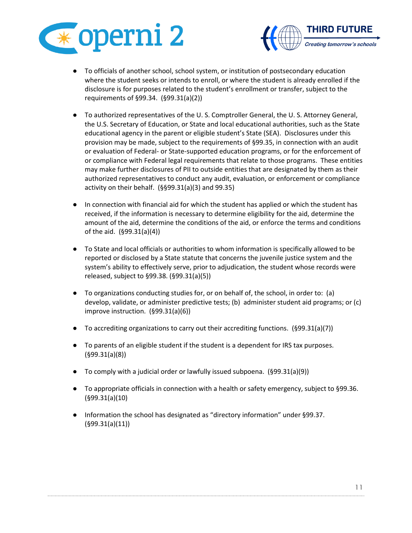



- To officials of another school, school system, or institution of postsecondary education where the student seeks or intends to enroll, or where the student is already enrolled if the disclosure is for purposes related to the student's enrollment or transfer, subject to the requirements of §99.34. (§99.31(a)(2))
- To authorized representatives of the U. S. Comptroller General, the U. S. Attorney General, the U.S. Secretary of Education, or State and local educational authorities, such as the State educational agency in the parent or eligible student's State (SEA). Disclosures under this provision may be made, subject to the requirements of §99.35, in connection with an audit or evaluation of Federal- or State-supported education programs, or for the enforcement of or compliance with Federal legal requirements that relate to those programs. These entities may make further disclosures of PII to outside entities that are designated by them as their authorized representatives to conduct any audit, evaluation, or enforcement or compliance activity on their behalf. (§§99.31(a)(3) and 99.35)
- In connection with financial aid for which the student has applied or which the student has received, if the information is necessary to determine eligibility for the aid, determine the amount of the aid, determine the conditions of the aid, or enforce the terms and conditions of the aid. (§99.31(a)(4))
- To State and local officials or authorities to whom information is specifically allowed to be reported or disclosed by a State statute that concerns the juvenile justice system and the system's ability to effectively serve, prior to adjudication, the student whose records were released, subject to §99.38. (§99.31(a)(5))
- To organizations conducting studies for, or on behalf of, the school, in order to: (a) develop, validate, or administer predictive tests; (b) administer student aid programs; or (c) improve instruction. (§99.31(a)(6))
- To accrediting organizations to carry out their accrediting functions. (§99.31(a)(7))
- To parents of an eligible student if the student is a dependent for IRS tax purposes. (§99.31(a)(8))
- $\bullet$  To comply with a judicial order or lawfully issued subpoena. (§99.31(a)(9))
- To appropriate officials in connection with a health or safety emergency, subject to §99.36. (§99.31(a)(10)
- Information the school has designated as "directory information" under §99.37. (§99.31(a)(11))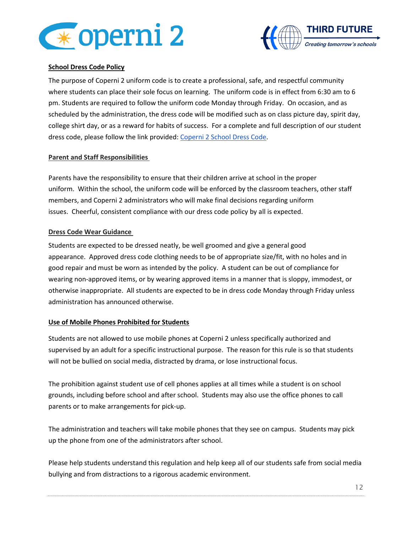



# **School Dress Code Policy**

The purpose of Coperni 2 uniform code is to create a professional, safe, and respectful community where students can place their sole focus on learning. The uniform code is in effect from 6:30 am to 6 pm. Students are required to follow the uniform code Monday through Friday. On occasion, and as scheduled by the administration, the dress code will be modified such as on class picture day, spirit day, college shirt day, or as a reward for habits of success. For a complete and full description of our student dress code, please follow the link provided: [Coperni 2 School Dress Code.](https://drive.google.com/file/d/1QYtOhoYZ1IucTLKIrPQkRJhjkkGGklQ-/view?usp=sharing)

# **Parent and Staff Responsibilities**

Parents have the responsibility to ensure that their children arrive at school in the proper uniform. Within the school, the uniform code will be enforced by the classroom teachers, other staff members, and Coperni 2 administrators who will make final decisions regarding uniform issues. Cheerful, consistent compliance with our dress code policy by all is expected.

#### **Dress Code Wear Guidance**

Students are expected to be dressed neatly, be well groomed and give a general good appearance. Approved dress code clothing needs to be of appropriate size/fit, with no holes and in good repair and must be worn as intended by the policy. A student can be out of compliance for wearing non-approved items, or by wearing approved items in a manner that is sloppy, immodest, or otherwise inappropriate. All students are expected to be in dress code Monday through Friday unless administration has announced otherwise.

# **Use of Mobile Phones Prohibited for Students**

Students are not allowed to use mobile phones at Coperni 2 unless specifically authorized and supervised by an adult for a specific instructional purpose. The reason for this rule is so that students will not be bullied on social media, distracted by drama, or lose instructional focus.

The prohibition against student use of cell phones applies at all times while a student is on school grounds, including before school and after school. Students may also use the office phones to call parents or to make arrangements for pick-up.

The administration and teachers will take mobile phones that they see on campus. Students may pick up the phone from one of the administrators after school.

Please help students understand this regulation and help keep all of our students safe from social media bullying and from distractions to a rigorous academic environment.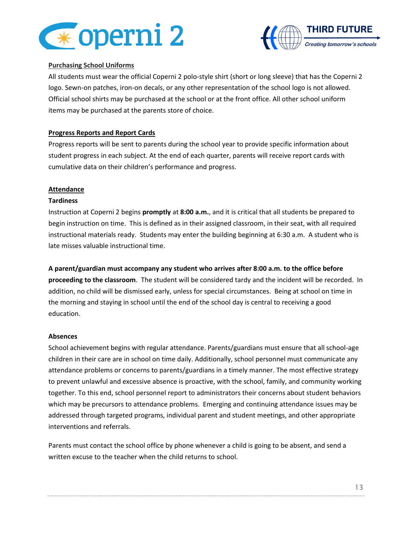



# **Purchasing School Uniforms**

All students must wear the official Coperni 2 polo-style shirt (short or long sleeve) that has the Coperni 2 logo. Sewn-on patches, iron-on decals, or any other representation of the school logo is not allowed. Official school shirts may be purchased at the school or at the front office. All other school uniform items may be purchased at the parents store of choice.

# **Progress Reports and Report Cards**

Progress reports will be sent to parents during the school year to provide specific information about student progress in each subject. At the end of each quarter, parents will receive report cards with cumulative data on their children's performance and progress.

# **Attendance**

# **Tardiness**

Instruction at Coperni 2 begins **promptly** at **8:00 a.m.**, and it is critical that all students be prepared to begin instruction on time. This is defined as in their assigned classroom, in their seat, with all required instructional materials ready. Students may enter the building beginning at 6:30 a.m. A student who is late misses valuable instructional time.

**A parent/guardian must accompany any student who arrives after 8:00 a.m. to the office before proceeding to the classroom**. The student will be considered tardy and the incident will be recorded. In addition, no child will be dismissed early, unless for special circumstances. Being at school on time in the morning and staying in school until the end of the school day is central to receiving a good education.

# **Absences**

School achievement begins with regular attendance. Parents/guardians must ensure that all school-age children in their care are in school on time daily. Additionally, school personnel must communicate any attendance problems or concerns to parents/guardians in a timely manner. The most effective strategy to prevent unlawful and excessive absence is proactive, with the school, family, and community working together. To this end, school personnel report to administrators their concerns about student behaviors which may be precursors to attendance problems. Emerging and continuing attendance issues may be addressed through targeted programs, individual parent and student meetings, and other appropriate interventions and referrals.

Parents must contact the school office by phone whenever a child is going to be absent, and send a written excuse to the teacher when the child returns to school.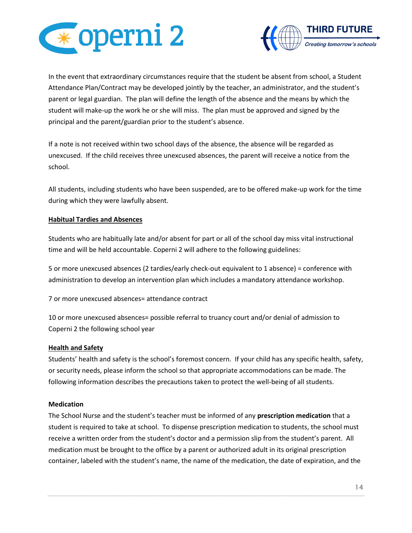



In the event that extraordinary circumstances require that the student be absent from school, a Student Attendance Plan/Contract may be developed jointly by the teacher, an administrator, and the student's parent or legal guardian. The plan will define the length of the absence and the means by which the student will make-up the work he or she will miss. The plan must be approved and signed by the principal and the parent/guardian prior to the student's absence.

If a note is not received within two school days of the absence, the absence will be regarded as unexcused. If the child receives three unexcused absences, the parent will receive a notice from the school.

All students, including students who have been suspended, are to be offered make-up work for the time during which they were lawfully absent.

# **Habitual Tardies and Absences**

Students who are habitually late and/or absent for part or all of the school day miss vital instructional time and will be held accountable. Coperni 2 will adhere to the following guidelines:

5 or more unexcused absences (2 tardies/early check-out equivalent to 1 absence) = conference with administration to develop an intervention plan which includes a mandatory attendance workshop.

7 or more unexcused absences= attendance contract

10 or more unexcused absences= possible referral to truancy court and/or denial of admission to Coperni 2 the following school year

# **Health and Safety**

Students' health and safety is the school's foremost concern. If your child has any specific health, safety, or security needs, please inform the school so that appropriate accommodations can be made. The following information describes the precautions taken to protect the well-being of all students.

# **Medication**

The School Nurse and the student's teacher must be informed of any **prescription medication** that a student is required to take at school. To dispense prescription medication to students, the school must receive a written order from the student's doctor and a permission slip from the student's parent. All medication must be brought to the office by a parent or authorized adult in its original prescription container, labeled with the student's name, the name of the medication, the date of expiration, and the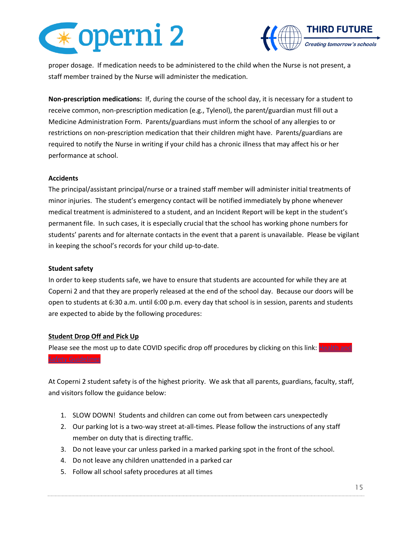



proper dosage. If medication needs to be administered to the child when the Nurse is not present, a staff member trained by the Nurse will administer the medication.

**Non-prescription medications:** If, during the course of the school day, it is necessary for a student to receive common, non-prescription medication (e.g., Tylenol), the parent/guardian must fill out a Medicine Administration Form. Parents/guardians must inform the school of any allergies to or restrictions on non-prescription medication that their children might have. Parents/guardians are required to notify the Nurse in writing if your child has a chronic illness that may affect his or her performance at school.

#### **Accidents**

The principal/assistant principal/nurse or a trained staff member will administer initial treatments of minor injuries. The student's emergency contact will be notified immediately by phone whenever medical treatment is administered to a student, and an Incident Report will be kept in the student's permanent file. In such cases, it is especially crucial that the school has working phone numbers for students' parents and for alternate contacts in the event that a parent is unavailable. Please be vigilant in keeping the school's records for your child up-to-date.

#### **Student safety**

In order to keep students safe, we have to ensure that students are accounted for while they are at Coperni 2 and that they are properly released at the end of the school day. Because our doors will be open to students at 6:30 a.m. until 6:00 p.m. every day that school is in session, parents and students are expected to abide by the following procedures:

# **Student Drop Off and Pick Up**

Please see the most up to date COVID specific drop off procedures by clicking on this link: Health and [Safety Guidelines](https://drive.google.com/open?id=16Lq0Z8vxcpSmQG18aRE2l0QNJ-G3g8ip)

At Coperni 2 student safety is of the highest priority. We ask that all parents, guardians, faculty, staff, and visitors follow the guidance below:

- 1. SLOW DOWN! Students and children can come out from between cars unexpectedly
- 2. Our parking lot is a two-way street at-all-times. Please follow the instructions of any staff member on duty that is directing traffic.
- 3. Do not leave your car unless parked in a marked parking spot in the front of the school.
- 4. Do not leave any children unattended in a parked car
- 5. Follow all school safety procedures at all times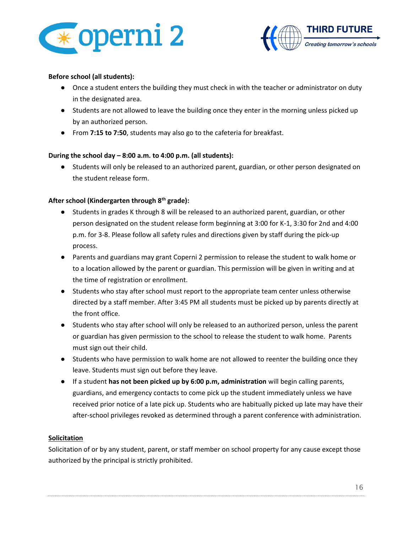



### **Before school (all students):**

- Once a student enters the building they must check in with the teacher or administrator on duty in the designated area.
- Students are not allowed to leave the building once they enter in the morning unless picked up by an authorized person.
- From **7:15 to 7:50**, students may also go to the cafeteria for breakfast.

# **During the school day – 8:00 a.m. to 4:00 p.m. (all students):**

● Students will only be released to an authorized parent, guardian, or other person designated on the student release form.

#### **After school (Kindergarten through 8th grade):**

- Students in grades K through 8 will be released to an authorized parent, guardian, or other person designated on the student release form beginning at 3:00 for K-1, 3:30 for 2nd and 4:00 p.m. for 3-8. Please follow all safety rules and directions given by staff during the pick-up process.
- Parents and guardians may grant Coperni 2 permission to release the student to walk home or to a location allowed by the parent or guardian. This permission will be given in writing and at the time of registration or enrollment.
- Students who stay after school must report to the appropriate team center unless otherwise directed by a staff member. After 3:45 PM all students must be picked up by parents directly at the front office.
- Students who stay after school will only be released to an authorized person, unless the parent or guardian has given permission to the school to release the student to walk home. Parents must sign out their child.
- Students who have permission to walk home are not allowed to reenter the building once they leave. Students must sign out before they leave.
- If a student **has not been picked up by 6:00 p.m, administration** will begin calling parents, guardians, and emergency contacts to come pick up the student immediately unless we have received prior notice of a late pick up. Students who are habitually picked up late may have their after-school privileges revoked as determined through a parent conference with administration.

#### **Solicitation**

Solicitation of or by any student, parent, or staff member on school property for any cause except those authorized by the principal is strictly prohibited.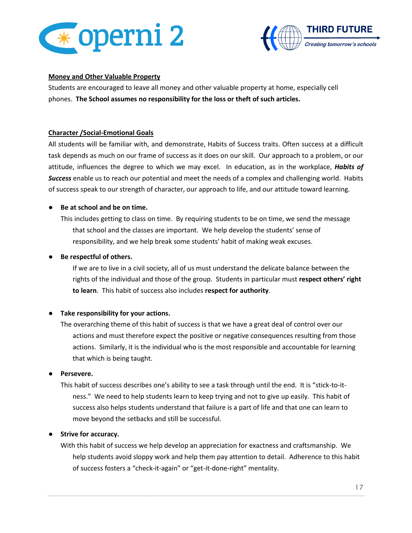



#### **Money and Other Valuable Property**

Students are encouraged to leave all money and other valuable property at home, especially cell phones. **The School assumes no responsibility for the loss or theft of such articles.**

#### **Character /Social-Emotional Goals**

All students will be familiar with, and demonstrate, Habits of Success traits. Often success at a difficult task depends as much on our frame of success as it does on our skill. Our approach to a problem, or our attitude, influences the degree to which we may excel. In education, as in the workplace, *Habits of Success* enable us to reach our potential and meet the needs of a complex and challenging world. Habits of success speak to our strength of character, our approach to life, and our attitude toward learning.

# ● **Be at school and be on time.**

This includes getting to class on time. By requiring students to be on time, we send the message that school and the classes are important. We help develop the students' sense of responsibility, and we help break some students' habit of making weak excuses.

#### **Be respectful of others.**

If we are to live in a civil society, all of us must understand the delicate balance between the rights of the individual and those of the group. Students in particular must **respect others' right to learn**. This habit of success also includes **respect for authority**.

# ● **Take responsibility for your actions.**

The overarching theme of this habit of success is that we have a great deal of control over our actions and must therefore expect the positive or negative consequences resulting from those actions. Similarly, it is the individual who is the most responsible and accountable for learning that which is being taught.

#### ● **Persevere.**

This habit of success describes one's ability to see a task through until the end. It is "stick-to-itness." We need to help students learn to keep trying and not to give up easily. This habit of success also helps students understand that failure is a part of life and that one can learn to move beyond the setbacks and still be successful.

# ● **Strive for accuracy.**

With this habit of success we help develop an appreciation for exactness and craftsmanship. We help students avoid sloppy work and help them pay attention to detail. Adherence to this habit of success fosters a "check-it-again" or "get-it-done-right" mentality.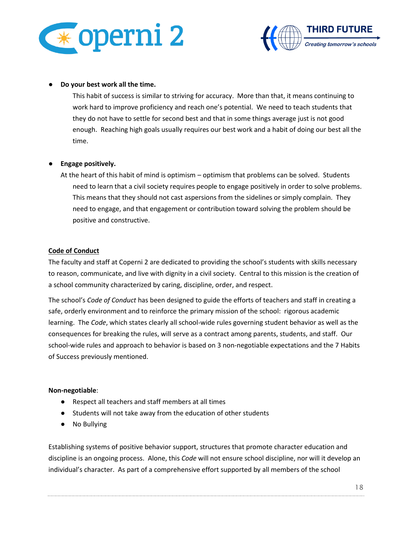



#### ● **Do your best work all the time.**

This habit of success is similar to striving for accuracy. More than that, it means continuing to work hard to improve proficiency and reach one's potential. We need to teach students that they do not have to settle for second best and that in some things average just is not good enough. Reaching high goals usually requires our best work and a habit of doing our best all the time.

# ● **Engage positively.**

At the heart of this habit of mind is optimism – optimism that problems can be solved. Students need to learn that a civil society requires people to engage positively in order to solve problems. This means that they should not cast aspersions from the sidelines or simply complain. They need to engage, and that engagement or contribution toward solving the problem should be positive and constructive.

#### **Code of Conduct**

The faculty and staff at Coperni 2 are dedicated to providing the school's students with skills necessary to reason, communicate, and live with dignity in a civil society. Central to this mission is the creation of a school community characterized by caring, discipline, order, and respect.

The school's *Code of Conduct* has been designed to guide the efforts of teachers and staff in creating a safe, orderly environment and to reinforce the primary mission of the school: rigorous academic learning. The *Code*, which states clearly all school-wide rules governing student behavior as well as the consequences for breaking the rules, will serve as a contract among parents, students, and staff. Our school-wide rules and approach to behavior is based on 3 non-negotiable expectations and the 7 Habits of Success previously mentioned.

#### **Non-negotiable**:

- Respect all teachers and staff members at all times
- Students will not take away from the education of other students
- No Bullying

Establishing systems of positive behavior support, structures that promote character education and discipline is an ongoing process. Alone, this *Code* will not ensure school discipline, nor will it develop an individual's character. As part of a comprehensive effort supported by all members of the school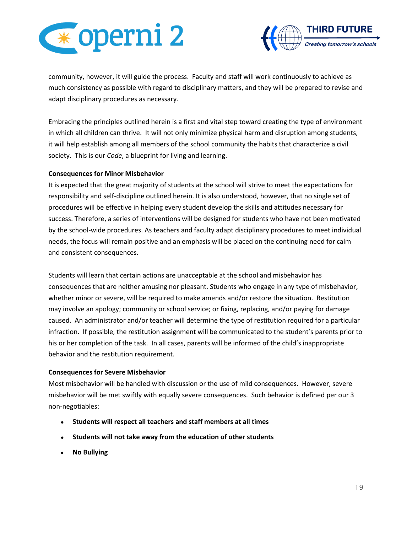



community, however, it will guide the process. Faculty and staff will work continuously to achieve as much consistency as possible with regard to disciplinary matters, and they will be prepared to revise and adapt disciplinary procedures as necessary.

Embracing the principles outlined herein is a first and vital step toward creating the type of environment in which all children can thrive. It will not only minimize physical harm and disruption among students, it will help establish among all members of the school community the habits that characterize a civil society. This is our *Code*, a blueprint for living and learning.

# **Consequences for Minor Misbehavior**

It is expected that the great majority of students at the school will strive to meet the expectations for responsibility and self-discipline outlined herein. It is also understood, however, that no single set of procedures will be effective in helping every student develop the skills and attitudes necessary for success. Therefore, a series of interventions will be designed for students who have not been motivated by the school-wide procedures. As teachers and faculty adapt disciplinary procedures to meet individual needs, the focus will remain positive and an emphasis will be placed on the continuing need for calm and consistent consequences.

Students will learn that certain actions are unacceptable at the school and misbehavior has consequences that are neither amusing nor pleasant. Students who engage in any type of misbehavior, whether minor or severe, will be required to make amends and/or restore the situation. Restitution may involve an apology; community or school service; or fixing, replacing, and/or paying for damage caused. An administrator and/or teacher will determine the type of restitution required for a particular infraction. If possible, the restitution assignment will be communicated to the student's parents prior to his or her completion of the task. In all cases, parents will be informed of the child's inappropriate behavior and the restitution requirement.

#### **Consequences for Severe Misbehavior**

Most misbehavior will be handled with discussion or the use of mild consequences. However, severe misbehavior will be met swiftly with equally severe consequences. Such behavior is defined per our 3 non-negotiables:

- **Students will respect all teachers and staff members at all times**
- **Students will not take away from the education of other students**
- **No Bullying**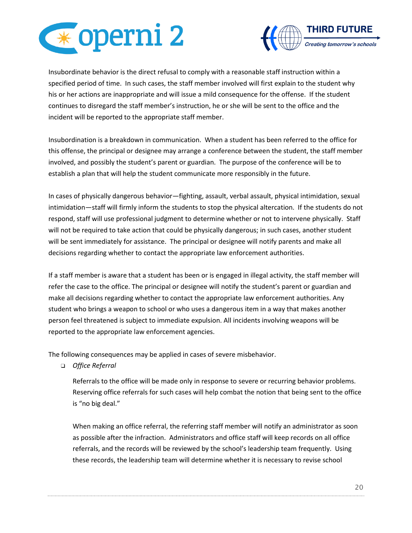



Insubordinate behavior is the direct refusal to comply with a reasonable staff instruction within a specified period of time. In such cases, the staff member involved will first explain to the student why his or her actions are inappropriate and will issue a mild consequence for the offense. If the student continues to disregard the staff member's instruction, he or she will be sent to the office and the incident will be reported to the appropriate staff member.

Insubordination is a breakdown in communication. When a student has been referred to the office for this offense, the principal or designee may arrange a conference between the student, the staff member involved, and possibly the student's parent or guardian. The purpose of the conference will be to establish a plan that will help the student communicate more responsibly in the future.

In cases of physically dangerous behavior—fighting, assault, verbal assault, physical intimidation, sexual intimidation—staff will firmly inform the students to stop the physical altercation. If the students do not respond, staff will use professional judgment to determine whether or not to intervene physically. Staff will not be required to take action that could be physically dangerous; in such cases, another student will be sent immediately for assistance. The principal or designee will notify parents and make all decisions regarding whether to contact the appropriate law enforcement authorities.

If a staff member is aware that a student has been or is engaged in illegal activity, the staff member will refer the case to the office. The principal or designee will notify the student's parent or guardian and make all decisions regarding whether to contact the appropriate law enforcement authorities. Any student who brings a weapon to school or who uses a dangerous item in a way that makes another person feel threatened is subject to immediate expulsion. All incidents involving weapons will be reported to the appropriate law enforcement agencies.

The following consequences may be applied in cases of severe misbehavior.

❑ *Office Referral*

Referrals to the office will be made only in response to severe or recurring behavior problems. Reserving office referrals for such cases will help combat the notion that being sent to the office is "no big deal."

When making an office referral, the referring staff member will notify an administrator as soon as possible after the infraction. Administrators and office staff will keep records on all office referrals, and the records will be reviewed by the school's leadership team frequently. Using these records, the leadership team will determine whether it is necessary to revise school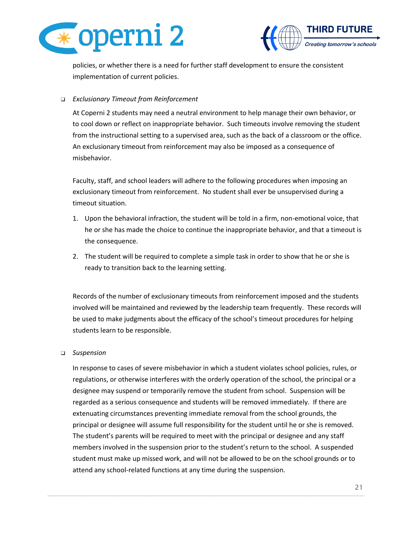



policies, or whether there is a need for further staff development to ensure the consistent implementation of current policies.

# ❑ *Exclusionary Timeout from Reinforcement*

At Coperni 2 students may need a neutral environment to help manage their own behavior, or to cool down or reflect on inappropriate behavior. Such timeouts involve removing the student from the instructional setting to a supervised area, such as the back of a classroom or the office. An exclusionary timeout from reinforcement may also be imposed as a consequence of misbehavior.

Faculty, staff, and school leaders will adhere to the following procedures when imposing an exclusionary timeout from reinforcement. No student shall ever be unsupervised during a timeout situation.

- 1. Upon the behavioral infraction, the student will be told in a firm, non-emotional voice, that he or she has made the choice to continue the inappropriate behavior, and that a timeout is the consequence.
- 2. The student will be required to complete a simple task in order to show that he or she is ready to transition back to the learning setting.

Records of the number of exclusionary timeouts from reinforcement imposed and the students involved will be maintained and reviewed by the leadership team frequently. These records will be used to make judgments about the efficacy of the school's timeout procedures for helping students learn to be responsible.

# ❑ *Suspension*

In response to cases of severe misbehavior in which a student violates school policies, rules, or regulations, or otherwise interferes with the orderly operation of the school, the principal or a designee may suspend or temporarily remove the student from school. Suspension will be regarded as a serious consequence and students will be removed immediately. If there are extenuating circumstances preventing immediate removal from the school grounds, the principal or designee will assume full responsibility for the student until he or she is removed. The student's parents will be required to meet with the principal or designee and any staff members involved in the suspension prior to the student's return to the school. A suspended student must make up missed work, and will not be allowed to be on the school grounds or to attend any school-related functions at any time during the suspension.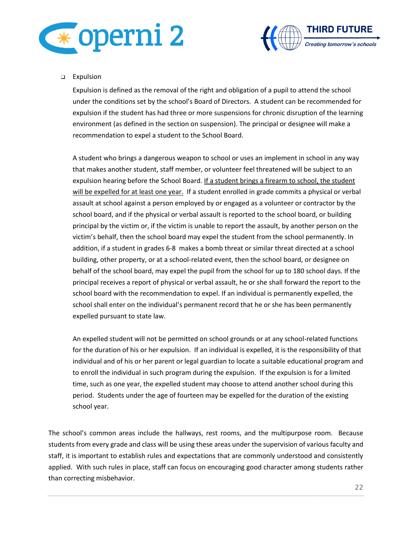



# ❑ Expulsion

Expulsion is defined as the removal of the right and obligation of a pupil to attend the school under the conditions set by the school's Board of Directors. A student can be recommended for expulsion if the student has had three or more suspensions for chronic disruption of the learning environment (as defined in the section on suspension). The principal or designee will make a recommendation to expel a student to the School Board.

A student who brings a dangerous weapon to school or uses an implement in school in any way that makes another student, staff member, or volunteer feel threatened will be subject to an expulsion hearing before the School Board. If a student brings a firearm to school, the student will be expelled for at least one year. If a student enrolled in grade commits a physical or verbal assault at school against a person employed by or engaged as a volunteer or contractor by the school board, and if the physical or verbal assault is reported to the school board, or building principal by the victim or, if the victim is unable to report the assault, by another person on the victim's behalf, then the school board may expel the student from the school permanently. In addition, if a student in grades 6-8 makes a bomb threat or similar threat directed at a school building, other property, or at a school-related event, then the school board, or designee on behalf of the school board, may expel the pupil from the school for up to 180 school days. If the principal receives a report of physical or verbal assault, he or she shall forward the report to the school board with the recommendation to expel. If an individual is permanently expelled, the school shall enter on the individual's permanent record that he or she has been permanently expelled pursuant to state law.

An expelled student will not be permitted on school grounds or at any school-related functions for the duration of his or her expulsion. If an individual is expelled, it is the responsibility of that individual and of his or her parent or legal guardian to locate a suitable educational program and to enroll the individual in such program during the expulsion. If the expulsion is for a limited time, such as one year, the expelled student may choose to attend another school during this period. Students under the age of fourteen may be expelled for the duration of the existing school year.

The school's common areas include the hallways, rest rooms, and the multipurpose room. Because students from every grade and class will be using these areas under the supervision of various faculty and staff, it is important to establish rules and expectations that are commonly understood and consistently applied. With such rules in place, staff can focus on encouraging good character among students rather than correcting misbehavior.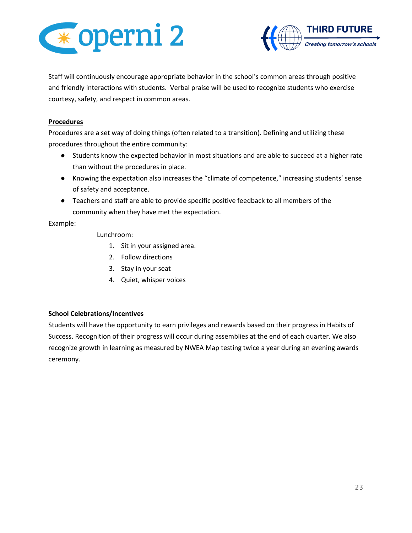



Staff will continuously encourage appropriate behavior in the school's common areas through positive and friendly interactions with students. Verbal praise will be used to recognize students who exercise courtesy, safety, and respect in common areas.

#### **Procedures**

Procedures are a set way of doing things (often related to a transition). Defining and utilizing these procedures throughout the entire community:

- Students know the expected behavior in most situations and are able to succeed at a higher rate than without the procedures in place.
- Knowing the expectation also increases the "climate of competence," increasing students' sense of safety and acceptance.
- Teachers and staff are able to provide specific positive feedback to all members of the community when they have met the expectation.

#### Example:

Lunchroom:

- 1. Sit in your assigned area.
- 2. Follow directions
- 3. Stay in your seat
- 4. Quiet, whisper voices

# **School Celebrations/Incentives**

Students will have the opportunity to earn privileges and rewards based on their progress in Habits of Success. Recognition of their progress will occur during assemblies at the end of each quarter. We also recognize growth in learning as measured by NWEA Map testing twice a year during an evening awards ceremony.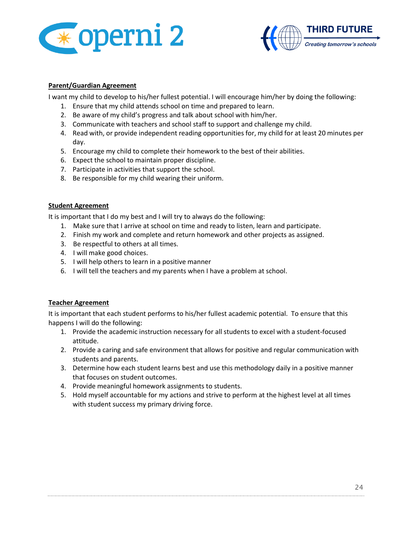



# **Parent/Guardian Agreement**

I want my child to develop to his/her fullest potential. I will encourage him/her by doing the following:

- 1. Ensure that my child attends school on time and prepared to learn.
- 2. Be aware of my child's progress and talk about school with him/her.
- 3. Communicate with teachers and school staff to support and challenge my child.
- 4. Read with, or provide independent reading opportunities for, my child for at least 20 minutes per day.
- 5. Encourage my child to complete their homework to the best of their abilities.
- 6. Expect the school to maintain proper discipline.
- 7. Participate in activities that support the school.
- 8. Be responsible for my child wearing their uniform.

#### **Student Agreement**

It is important that I do my best and I will try to always do the following:

- 1. Make sure that I arrive at school on time and ready to listen, learn and participate.
- 2. Finish my work and complete and return homework and other projects as assigned.
- 3. Be respectful to others at all times.
- 4. I will make good choices.
- 5. I will help others to learn in a positive manner
- 6. I will tell the teachers and my parents when I have a problem at school.

#### **Teacher Agreement**

It is important that each student performs to his/her fullest academic potential. To ensure that this happens I will do the following:

- 1. Provide the academic instruction necessary for all students to excel with a student-focused attitude.
- 2. Provide a caring and safe environment that allows for positive and regular communication with students and parents.
- 3. Determine how each student learns best and use this methodology daily in a positive manner that focuses on student outcomes.
- 4. Provide meaningful homework assignments to students.
- 5. Hold myself accountable for my actions and strive to perform at the highest level at all times with student success my primary driving force.